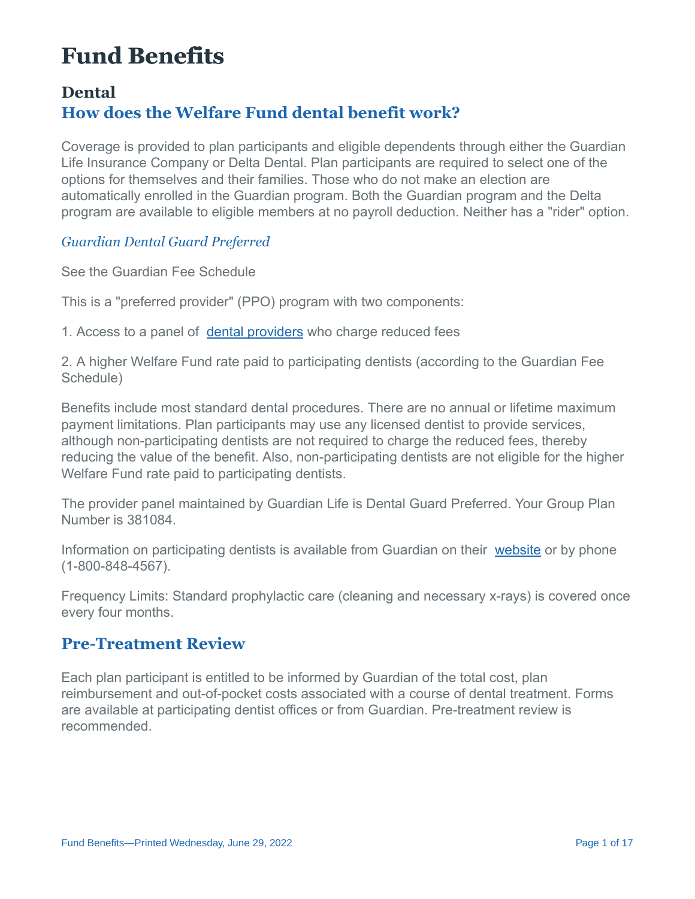# **Fund Benefits**

# **Dental How does the Welfare Fund dental benefit work?**

Coverage is provided to plan participants and eligible dependents through either the Guardian Life Insurance Company or Delta Dental. Plan participants are required to select one of the options for themselves and their families. Those who do not make an election are automatically enrolled in the Guardian program. Both the Guardian program and the Delta program are available to eligible members at no payroll deduction. Neither has a "rider" option.

*Guardian Dental Guard Preferred*

See the Guardian Fee Schedule

This is a "preferred provider" (PPO) program with two components:

1. Access to a panel of [dental providers](https://www.guardiananytime.com/fpapp/FPWeb/home.process) who charge reduced fees

2. A higher Welfare Fund rate paid to participating dentists (according to the Guardian Fee Schedule)

Benefits include most standard dental procedures. There are no annual or lifetime maximum payment limitations. Plan participants may use any licensed dentist to provide services, although non-participating dentists are not required to charge the reduced fees, thereby reducing the value of the benefit. Also, non-participating dentists are not eligible for the higher Welfare Fund rate paid to participating dentists.

The provider panel maintained by Guardian Life is Dental Guard Preferred. Your Group Plan Number is 381084.

Information on participating dentists is available from Guardian on their [website](https://www.guardiananytime.com/gafd/wps/portal/fdhome) or by phone (1-800-848-4567).

Frequency Limits: Standard prophylactic care (cleaning and necessary x-rays) is covered once every four months.

### **Pre-Treatment Review**

Each plan participant is entitled to be informed by Guardian of the total cost, plan reimbursement and out-of-pocket costs associated with a course of dental treatment. Forms are available at participating dentist offices or from Guardian. Pre-treatment review is recommended.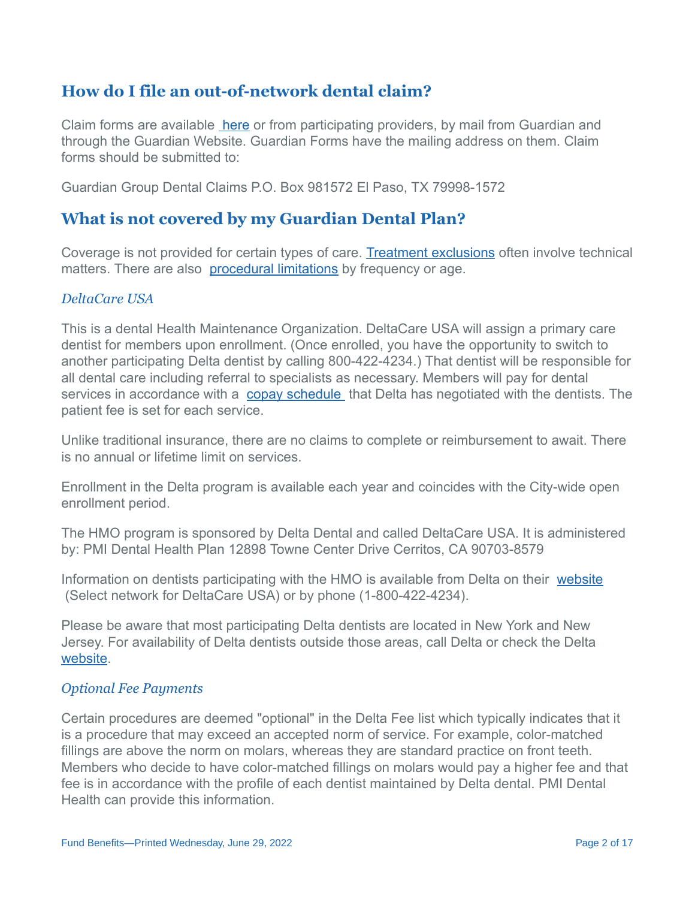# **How do I file an out-of-network dental claim?**

Claim forms are available [here](http://www.psccunywf.org/media/191275/guardian_dental_non-par_reimbusement_claim_form.5.15.18.pdf) or from participating providers, by mail from Guardian and through the Guardian Website. Guardian Forms have the mailing address on them. Claim forms should be submitted to:

Guardian Group Dental Claims P.O. Box 981572 El Paso, TX 79998-1572

#### **What is not covered by my Guardian Dental Plan?**

Coverage is not provided for certain types of care. [Treatment exclusions](http://www.psccunywf.org/media/193278/guardian_benefit_exclusions.rev.7.1.2018.rev.pdf) often involve technical matters. There are also [procedural limitations](/media/242559/guardian_contract_limitations.pdf) by frequency or age.

#### *DeltaCare USA*

This is a dental Health Maintenance Organization. DeltaCare USA will assign a primary care dentist for members upon enrollment. (Once enrolled, you have the opportunity to switch to another participating Delta dentist by calling 800-422-4234.) That dentist will be responsible for all dental care including referral to specialists as necessary. Members will pay for dental services in accordance with a [copay schedule](http://www.psccunywf.org/media/20957/Delta_Dental_Copay_Schedule.pdf) that Delta has negotiated with the dentists. The patient fee is set for each service.

Unlike traditional insurance, there are no claims to complete or reimbursement to await. There is no annual or lifetime limit on services.

Enrollment in the Delta program is available each year and coincides with the City-wide open enrollment period.

The HMO program is sponsored by Delta Dental and called DeltaCare USA. It is administered by: PMI Dental Health Plan 12898 Towne Center Drive Cerritos, CA 90703-8579

Information on dentists participating with the HMO is available from Delta on their [website](https://www.deltadentalins.com/) (Select network for DeltaCare USA) or by phone (1-800-422-4234).

Please be aware that most participating Delta dentists are located in New York and New Jersey. For availability of Delta dentists outside those areas, call Delta or check the Delta [website.](https://www.deltadentalins.com/)

#### *Optional Fee Payments*

Certain procedures are deemed "optional" in the Delta Fee list which typically indicates that it is a procedure that may exceed an accepted norm of service. For example, color-matched fillings are above the norm on molars, whereas they are standard practice on front teeth. Members who decide to have color-matched fillings on molars would pay a higher fee and that fee is in accordance with the profile of each dentist maintained by Delta dental. PMI Dental Health can provide this information.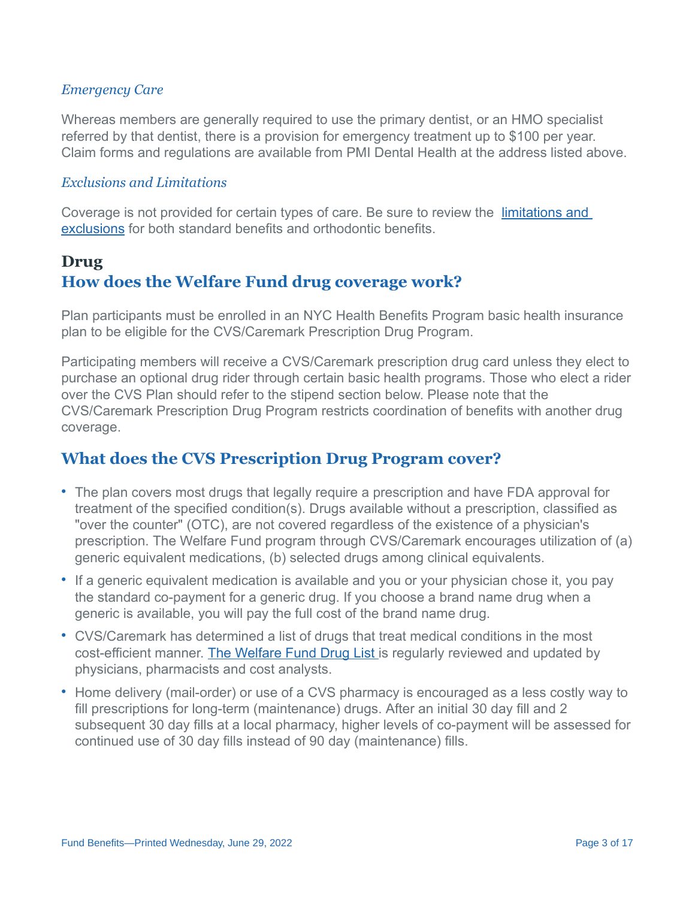#### *Emergency Care*

Whereas members are generally required to use the primary dentist, or an HMO specialist referred by that dentist, there is a provision for emergency treatment up to \$100 per year. Claim forms and regulations are available from PMI Dental Health at the address listed above.

#### *Exclusions and Limitations*

[Coverage is not provided for certain types of care. Be sure to review the](http://www.psccunywf.org/media/158054/dental_-_delta_exclusions_and_limitations.6.2017.pdf) *limitations and* exclusions for both standard benefits and orthodontic benefits.

# **Drug How does the Welfare Fund drug coverage work?**

Plan participants must be enrolled in an NYC Health Benefits Program basic health insurance plan to be eligible for the CVS/Caremark Prescription Drug Program.

Participating members will receive a CVS/Caremark prescription drug card unless they elect to purchase an optional drug rider through certain basic health programs. Those who elect a rider over the CVS Plan should refer to the stipend section below. Please note that the CVS/Caremark Prescription Drug Program restricts coordination of benefits with another drug coverage.

### **What does the CVS Prescription Drug Program cover?**

- The plan covers most drugs that legally require a prescription and have FDA approval for treatment of the specified condition(s). Drugs available without a prescription, classified as "over the counter" (OTC), are not covered regardless of the existence of a physician's prescription. The Welfare Fund program through CVS/Caremark encourages utilization of (a) generic equivalent medications, (b) selected drugs among clinical equivalents.
- If a generic equivalent medication is available and you or your physician chose it, you pay the standard co-payment for a generic drug. If you choose a brand name drug when a generic is available, you will pay the full cost of the brand name drug.
- CVS/Caremark has determined a list of drugs that treat medical conditions in the most cost-efficient manner. [The Welfare Fund Drug List i](/media/215627/psc-cuny_drug_list.april.2020.pdf)s regularly reviewed and updated by physicians, pharmacists and cost analysts.
- Home delivery (mail-order) or use of a CVS pharmacy is encouraged as a less costly way to fill prescriptions for long-term (maintenance) drugs. After an initial 30 day fill and 2 subsequent 30 day fills at a local pharmacy, higher levels of co-payment will be assessed for continued use of 30 day fills instead of 90 day (maintenance) fills.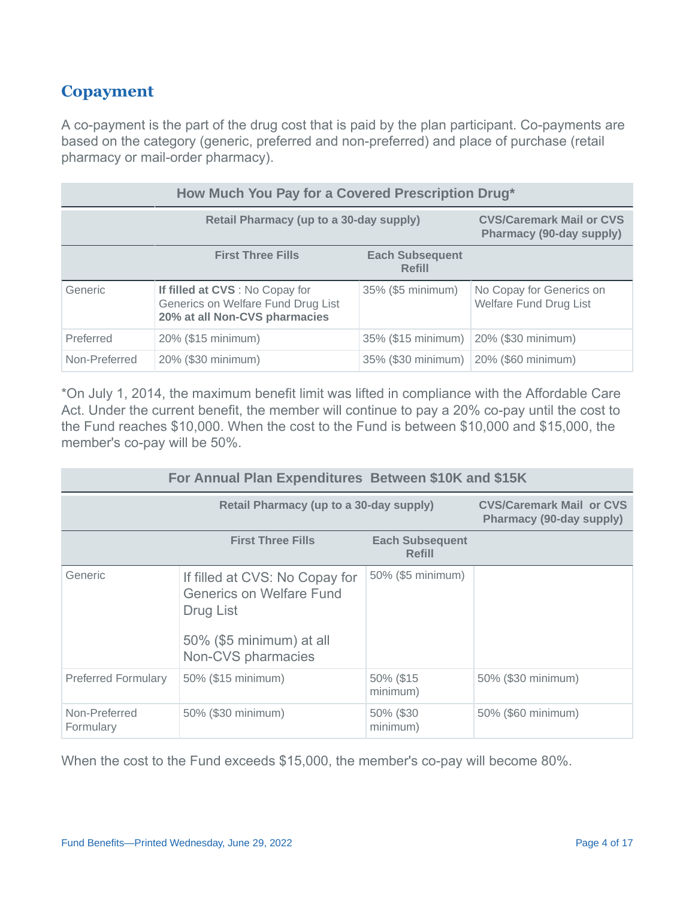# **Copayment**

A co-payment is the part of the drug cost that is paid by the plan participant. Co-payments are based on the category (generic, preferred and non-preferred) and place of purchase (retail pharmacy or mail-order pharmacy).

| How Much You Pay for a Covered Prescription Drug* |                                                                                                        |                                         |                                                             |  |
|---------------------------------------------------|--------------------------------------------------------------------------------------------------------|-----------------------------------------|-------------------------------------------------------------|--|
|                                                   | Retail Pharmacy (up to a 30-day supply)                                                                |                                         | <b>CVS/Caremark Mail or CVS</b><br>Pharmacy (90-day supply) |  |
|                                                   | <b>First Three Fills</b>                                                                               | <b>Each Subsequent</b><br><b>Refill</b> |                                                             |  |
| Generic                                           | If filled at CVS : No Copay for<br>Generics on Welfare Fund Drug List<br>20% at all Non-CVS pharmacies | 35% (\$5 minimum)                       | No Copay for Generics on<br><b>Welfare Fund Drug List</b>   |  |
| Preferred                                         | 20% (\$15 minimum)                                                                                     | 35% (\$15 minimum)                      | 20% (\$30 minimum)                                          |  |
| Non-Preferred                                     | 20% (\$30 minimum)                                                                                     | 35% (\$30 minimum)                      | 20% (\$60 minimum)                                          |  |

\*On July 1, 2014, the maximum benefit limit was lifted in compliance with the Affordable Care Act. Under the current benefit, the member will continue to pay a 20% co-pay until the cost to the Fund reaches \$10,000. When the cost to the Fund is between \$10,000 and \$15,000, the member's co-pay will be 50%.

| For Annual Plan Expenditures Between \$10K and \$15K |                                                                                                                                  |                                         |                                                             |  |
|------------------------------------------------------|----------------------------------------------------------------------------------------------------------------------------------|-----------------------------------------|-------------------------------------------------------------|--|
| <b>Retail Pharmacy (up to a 30-day supply)</b>       |                                                                                                                                  |                                         | <b>CVS/Caremark Mail or CVS</b><br>Pharmacy (90-day supply) |  |
|                                                      | <b>First Three Fills</b>                                                                                                         | <b>Each Subsequent</b><br><b>Refill</b> |                                                             |  |
| Generic                                              | If filled at CVS: No Copay for<br><b>Generics on Welfare Fund</b><br>Drug List<br>50% (\$5 minimum) at all<br>Non-CVS pharmacies | 50% (\$5 minimum)                       |                                                             |  |
| <b>Preferred Formulary</b>                           | 50% (\$15 minimum)                                                                                                               | 50% (\$15<br>minimum)                   | 50% (\$30 minimum)                                          |  |
| Non-Preferred<br>Formulary                           | 50% (\$30 minimum)                                                                                                               | 50% (\$30<br>minimum)                   | 50% (\$60 minimum)                                          |  |

When the cost to the Fund exceeds \$15,000, the member's co-pay will become 80%.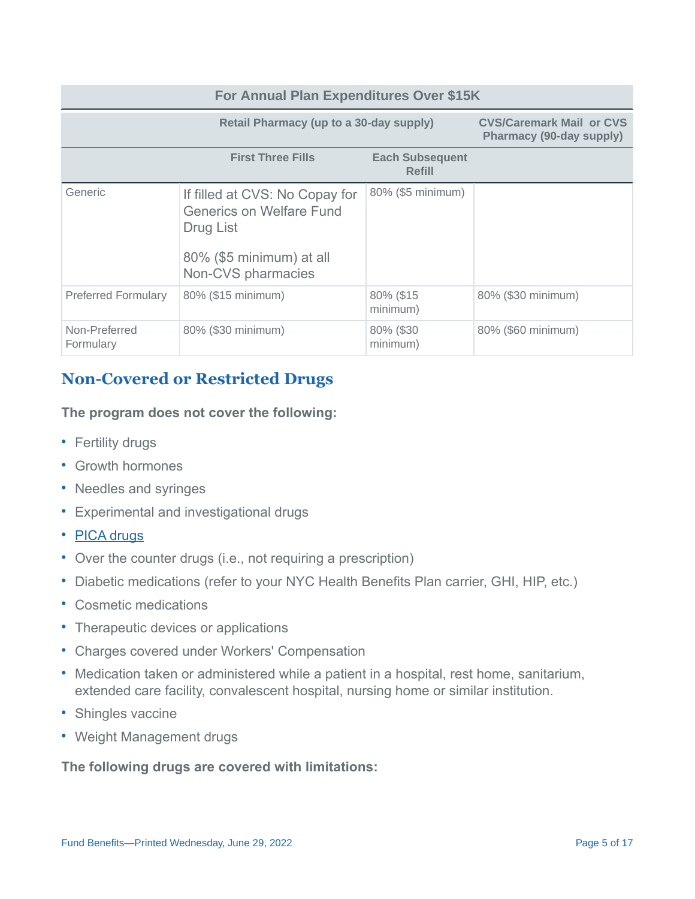#### **For Annual Plan Expenditures Over \$15K Retail Pharmacy (up to a 30-day supply) CVS/Caremark Mail or CVS Pharmacy (90-day supply) First Three Fills Each Subsequent Refill** Generic **If filled at CVS: No Copay for** Generics on Welfare Fund Drug List 80% (\$5 minimum) at all Non-CVS pharmacies 80% (\$5 minimum) Preferred Formulary 80% (\$15 minimum) 80% (\$15 minimum) 80% (\$30 minimum) Non-Preferred Formulary 80% (\$30 minimum) 80% (\$30 minimum) 80% (\$60 minimum)

# **Non-Covered or Restricted Drugs**

**The program does not cover the following:**

- Fertility drugs
- Growth hormones
- Needles and syringes
- Experimental and investigational drugs
- [PICA drugs](http://www1.nyc.gov/site/olr/health/summaryofplans/health-pica.page)
- Over the counter drugs (i.e., not requiring a prescription)
- Diabetic medications (refer to your NYC Health Benefits Plan carrier, GHI, HIP, etc.)
- Cosmetic medications
- Therapeutic devices or applications
- Charges covered under Workers' Compensation
- Medication taken or administered while a patient in a hospital, rest home, sanitarium, extended care facility, convalescent hospital, nursing home or similar institution.
- Shingles vaccine
- Weight Management drugs

**The following drugs are covered with limitations:**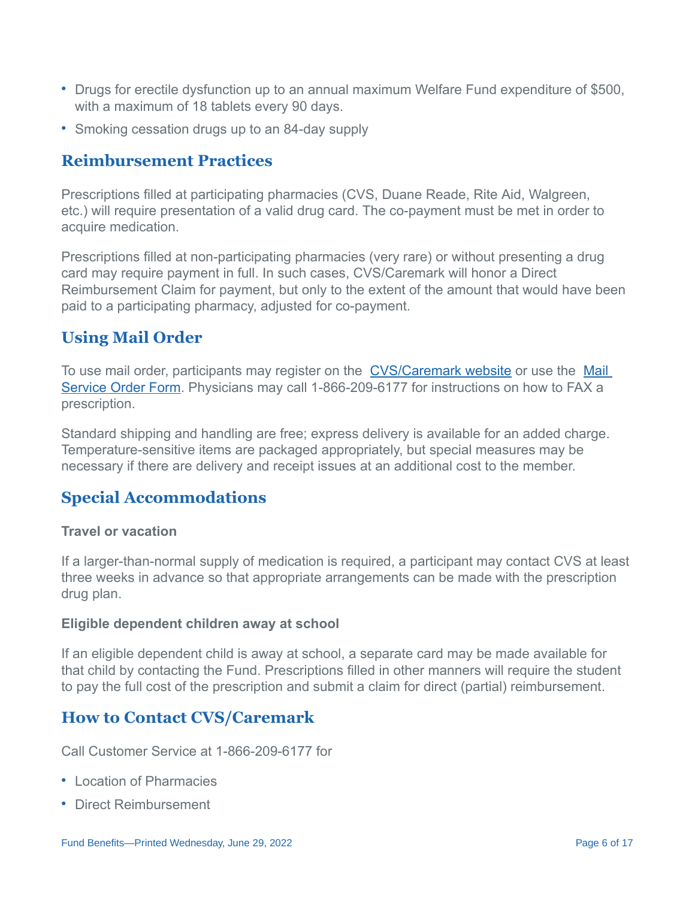- Drugs for erectile dysfunction up to an annual maximum Welfare Fund expenditure of \$500, with a maximum of 18 tablets every 90 days.
- Smoking cessation drugs up to an 84-day supply

# **Reimbursement Practices**

Prescriptions filled at participating pharmacies (CVS, Duane Reade, Rite Aid, Walgreen, etc.) will require presentation of a valid drug card. The co-payment must be met in order to acquire medication.

Prescriptions filled at non-participating pharmacies (very rare) or without presenting a drug card may require payment in full. In such cases, CVS/Caremark will honor a Direct Reimbursement Claim for payment, but only to the extent of the amount that would have been paid to a participating pharmacy, adjusted for co-payment.

# **Using Mail Order**

To use mail order, participants may register on the [CVS/Caremark website](https://www.caremark.com/wps/portal) or use the Mail [Service Order Form. Physicians may call 1-866-209-6177 for instructions on how to FAX a](https://www.caremark.com/portal/asset/mof_unauth.pdf) prescription.

Standard shipping and handling are free; express delivery is available for an added charge. Temperature-sensitive items are packaged appropriately, but special measures may be necessary if there are delivery and receipt issues at an additional cost to the member.

# **Special Accommodations**

#### **Travel or vacation**

If a larger-than-normal supply of medication is required, a participant may contact CVS at least three weeks in advance so that appropriate arrangements can be made with the prescription drug plan.

#### **Eligible dependent children away at school**

If an eligible dependent child is away at school, a separate card may be made available for that child by contacting the Fund. Prescriptions filled in other manners will require the student to pay the full cost of the prescription and submit a claim for direct (partial) reimbursement.

# **How to Contact CVS/Caremark**

Call Customer Service at 1-866-209-6177 for

- Location of Pharmacies
- Direct Reimbursement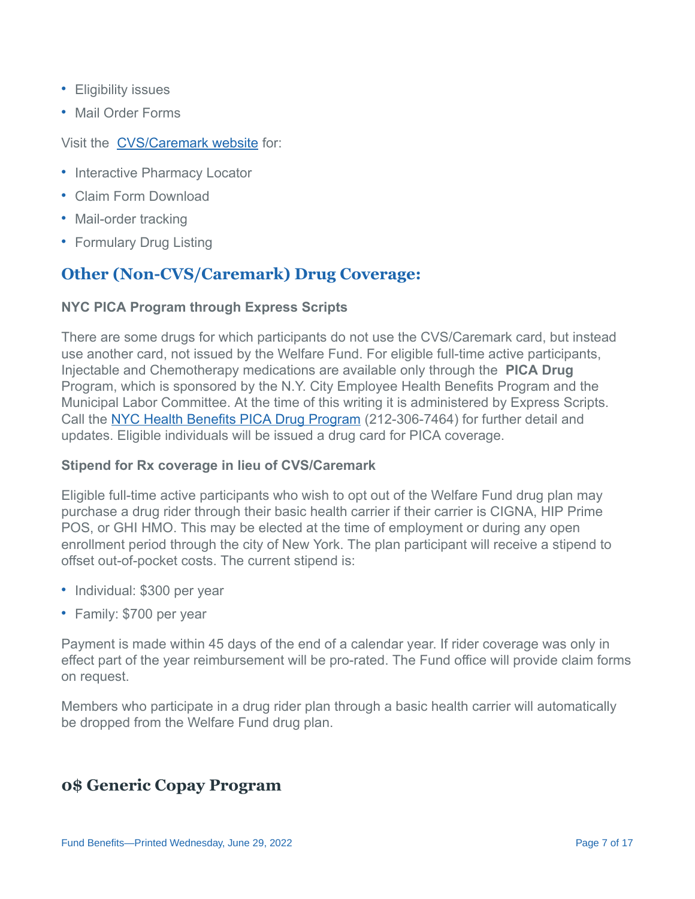- Eligibility issues
- Mail Order Forms

#### Visit the [CVS/Caremark website](https://www.caremark.com/wps/portal) for:

- Interactive Pharmacy Locator
- Claim Form Download
- Mail-order tracking
- Formulary Drug Listing

# **Other (Non-CVS/Caremark) Drug Coverage:**

#### **NYC PICA Program through Express Scripts**

There are some drugs for which participants do not use the CVS/Caremark card, but instead use another card, not issued by the Welfare Fund. For eligible full-time active participants, Injectable and Chemotherapy medications are available only through the **PICA Drug** Program, which is sponsored by the N.Y. City Employee Health Benefits Program and the Municipal Labor Committee. At the time of this writing it is administered by Express Scripts. Call the [NYC Health Benefits PICA Drug Program](http://www1.nyc.gov/site/olr/health/summaryofplans/health-pica.page) (212-306-7464) for further detail and updates. Eligible individuals will be issued a drug card for PICA coverage.

#### **Stipend for Rx coverage in lieu of CVS/Caremark**

Eligible full-time active participants who wish to opt out of the Welfare Fund drug plan may purchase a drug rider through their basic health carrier if their carrier is CIGNA, HIP Prime POS, or GHI HMO. This may be elected at the time of employment or during any open enrollment period through the city of New York. The plan participant will receive a stipend to offset out-of-pocket costs. The current stipend is:

- Individual: \$300 per year
- Family: \$700 per year

Payment is made within 45 days of the end of a calendar year. If rider coverage was only in effect part of the year reimbursement will be pro-rated. The Fund office will provide claim forms on request.

Members who participate in a drug rider plan through a basic health carrier will automatically be dropped from the Welfare Fund drug plan.

### **0\$ Generic Copay Program**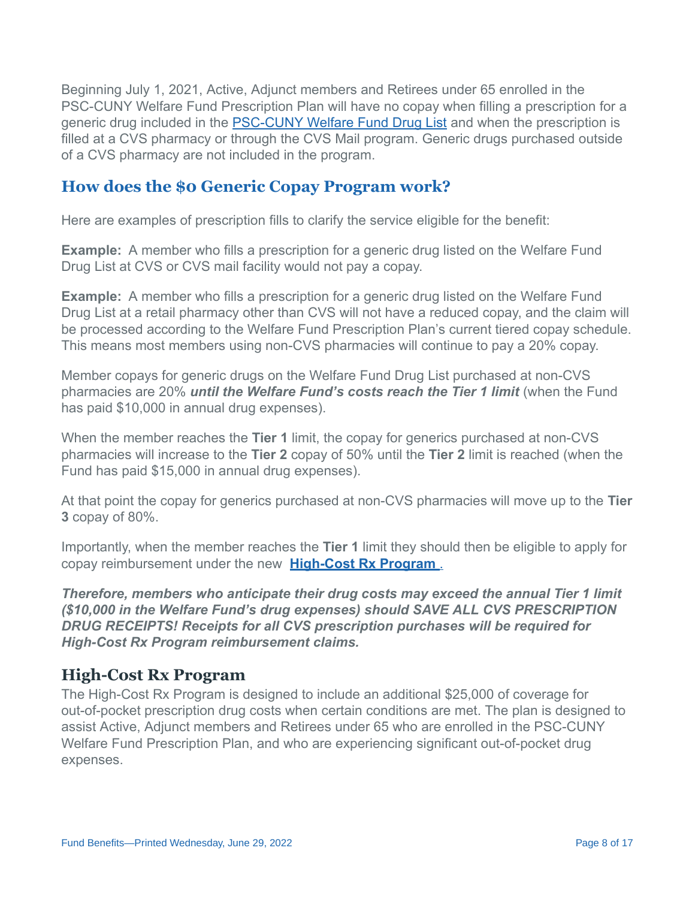Beginning July 1, 2021, Active, Adjunct members and Retirees under 65 enrolled in the PSC-CUNY Welfare Fund Prescription Plan will have no copay when filling a prescription for a generic drug included in the [PSC-CUNY Welfare Fund Drug List](http://www.psccunywf.org/media/231608/welfare_fund_rx_drug_formulary.4.1.21.pdf) and when the prescription is filled at a CVS pharmacy or through the CVS Mail program. Generic drugs purchased outside of a CVS pharmacy are not included in the program.

#### **How does the \$0 Generic Copay Program work?**

Here are examples of prescription fills to clarify the service eligible for the benefit:

**Example:** A member who fills a prescription for a generic drug listed on the Welfare Fund Drug List at CVS or CVS mail facility would not pay a copay.

**Example:** A member who fills a prescription for a generic drug listed on the Welfare Fund Drug List at a retail pharmacy other than CVS will not have a reduced copay, and the claim will be processed according to the Welfare Fund Prescription Plan's current tiered copay schedule. This means most members using non-CVS pharmacies will continue to pay a 20% copay.

Member copays for generic drugs on the Welfare Fund Drug List purchased at non-CVS pharmacies are 20% *until the Welfare Fund's costs reach the Tier 1 limit* (when the Fund has paid \$10,000 in annual drug expenses).

When the member reaches the **Tier 1** limit, the copay for generics purchased at non-CVS pharmacies will increase to the **Tier 2** copay of 50% until the **Tier 2** limit is reached (when the Fund has paid \$15,000 in annual drug expenses).

At that point the copay for generics purchased at non-CVS pharmacies will move up to the **Tier 3** copay of 80%.

Importantly, when the member reaches the **Tier 1** limit they should then be eligible to apply for copay reimbursement under the new **[High-Cost Rx Program](http://www.psccunywf.org/full-time-actives/fund-benefits/high-cost-rx-program.aspx)** .

*Therefore, members who anticipate their drug costs may exceed the annual Tier 1 limit (\$10,000 in the Welfare Fund's drug expenses) should SAVE ALL CVS PRESCRIPTION DRUG RECEIPTS! Receipts for all CVS prescription purchases will be required for High-Cost Rx Program reimbursement claims.*

#### **High-Cost Rx Program**

The High-Cost Rx Program is designed to include an additional \$25,000 of coverage for out-of-pocket prescription drug costs when certain conditions are met. The plan is designed to assist Active, Adjunct members and Retirees under 65 who are enrolled in the PSC-CUNY Welfare Fund Prescription Plan, and who are experiencing significant out-of-pocket drug expenses.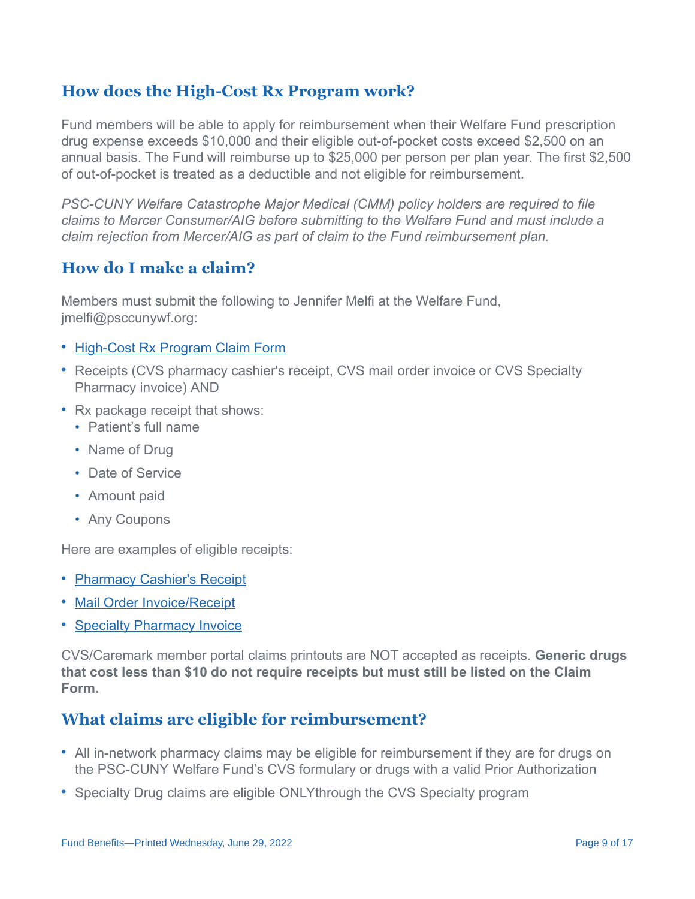# **How does the High-Cost Rx Program work?**

Fund members will be able to apply for reimbursement when their Welfare Fund prescription drug expense exceeds \$10,000 and their eligible out-of-pocket costs exceed \$2,500 on an annual basis. The Fund will reimburse up to \$25,000 per person per plan year. The first \$2,500 of out-of-pocket is treated as a deductible and not eligible for reimbursement.

*PSC-CUNY Welfare Catastrophe Major Medical (CMM) policy holders are required to file claims to Mercer Consumer/AIG before submitting to the Welfare Fund and must include a claim rejection from Mercer/AIG as part of claim to the Fund reimbursement plan.*

### **How do I make a claim?**

Members must submit the following to Jennifer Melfi at the Welfare Fund, jmelfi@psccunywf.org:

- [High-Cost Rx Program Claim Form](/media/236308/2021_06_29_wf_high_cost_rx_reimbursement_form_page_1.pdf)
- Receipts (CVS pharmacy cashier's receipt, CVS mail order invoice or CVS Specialty Pharmacy invoice) AND
- Rx package receipt that shows:
	- Patient's full name
	- Name of Drug
	- Date of Service
	- Amount paid
	- Any Coupons

Here are examples of eligible receipts:

- [Pharmacy Cashier's Receipt](http://www.psccunywf.org/media/206347/high-cost_rx_plan_required_receipts.pdf)
- [Mail Order Invoice/Receipt](http://www.psccunywf.org/media/220020/invoice_sample_mail_order_25423.pdf)
- [Specialty Pharmacy Invoice](http://www.psccunywf.org/media/212704/cvs_specialty_invoice.pdf)

CVS/Caremark member portal claims printouts are NOT accepted as receipts. **Generic drugs that cost less than \$10 do not require receipts but must still be listed on the Claim Form.**

# **What claims are eligible for reimbursement?**

- All in-network pharmacy claims may be eligible for reimbursement if they are for drugs on the PSC-CUNY Welfare Fund's CVS formulary or drugs with a valid Prior Authorization
- Specialty Drug claims are eligible ONLYthrough the CVS Specialty program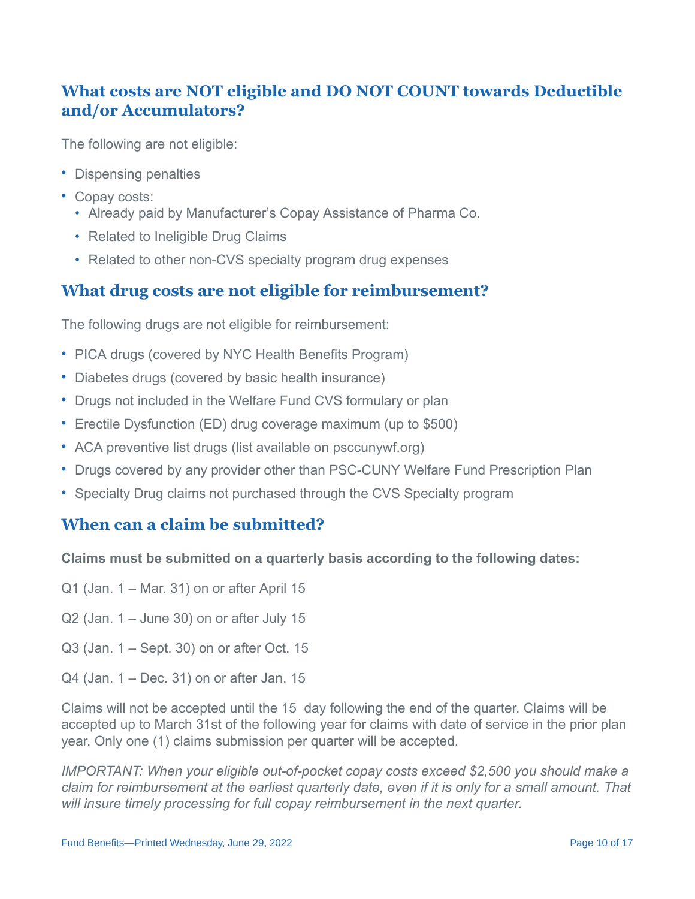# **What costs are NOT eligible and DO NOT COUNT towards Deductible and/or Accumulators?**

The following are not eligible:

- Dispensing penalties
- Copay costs:
	- Already paid by Manufacturer's Copay Assistance of Pharma Co.
	- Related to Ineligible Drug Claims
	- Related to other non-CVS specialty program drug expenses

### **What drug costs are not eligible for reimbursement?**

The following drugs are not eligible for reimbursement:

- PICA drugs (covered by NYC Health Benefits Program)
- Diabetes drugs (covered by basic health insurance)
- Drugs not included in the Welfare Fund CVS formulary or plan
- Erectile Dysfunction (ED) drug coverage maximum (up to \$500)
- ACA preventive list drugs (list available on psccunywf.org)
- Drugs covered by any provider other than PSC-CUNY Welfare Fund Prescription Plan
- Specialty Drug claims not purchased through the CVS Specialty program

### **When can a claim be submitted?**

#### **Claims must be submitted on a quarterly basis according to the following dates:**

- Q1 (Jan. 1 Mar. 31) on or after April 15
- $Q2$  (Jan. 1 June 30) on or after July 15
- Q3 (Jan. 1 Sept. 30) on or after Oct. 15
- Q4 (Jan. 1 Dec. 31) on or after Jan. 15

Claims will not be accepted until the 15 day following the end of the quarter. Claims will be accepted up to March 31st of the following year for claims with date of service in the prior plan year. Only one (1) claims submission per quarter will be accepted.

*IMPORTANT: When your eligible out-of-pocket copay costs exceed \$2,500 you should make a claim for reimbursement at the earliest quarterly date, even if it is only for a small amount. That will insure timely processing for full copay reimbursement in the next quarter.*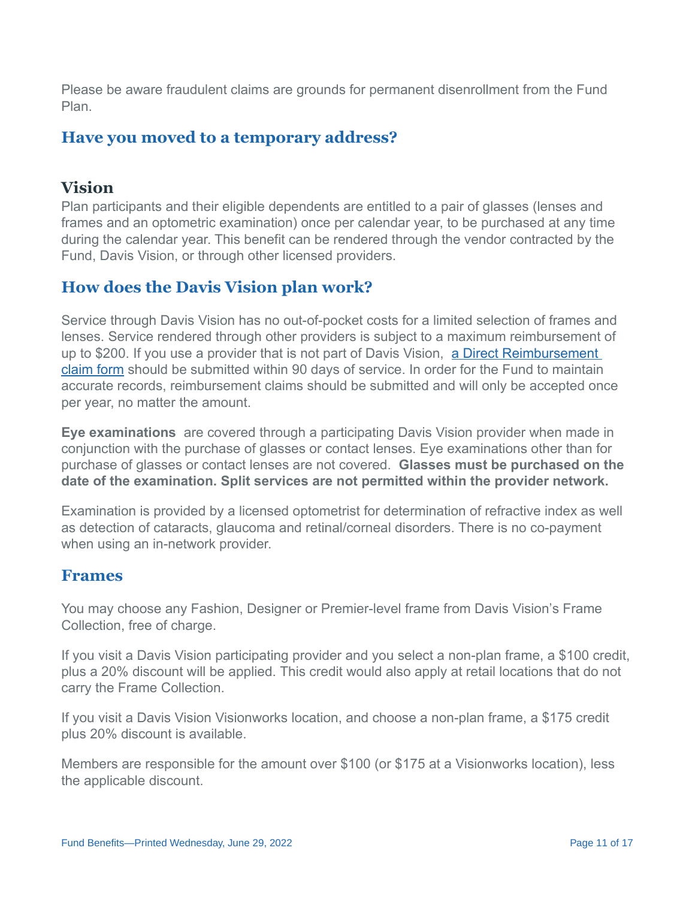Please be aware fraudulent claims are grounds for permanent disenrollment from the Fund Plan.

### **Have you moved to a temporary address?**

# **Vision**

Plan participants and their eligible dependents are entitled to a pair of glasses (lenses and frames and an optometric examination) once per calendar year, to be purchased at any time during the calendar year. This benefit can be rendered through the vendor contracted by the Fund, Davis Vision, or through other licensed providers.

### **How does the Davis Vision plan work?**

Service through Davis Vision has no out-of-pocket costs for a limited selection of frames and lenses. Service rendered through other providers is subject to a maximum reimbursement of up to \$200. If you use a provider that is not part of Davis Vision, a Direct Reimbursement [claim form should be submitted within 90 days of service. In order for the Fund to maintain](http://www.psccunywf.org/media/133046/ret.out.of.state.reimbursement.pdf) accurate records, reimbursement claims should be submitted and will only be accepted once per year, no matter the amount.

**Eye examinations** are covered through a participating Davis Vision provider when made in conjunction with the purchase of glasses or contact lenses. Eye examinations other than for purchase of glasses or contact lenses are not covered. **Glasses must be purchased on the date of the examination. Split services are not permitted within the provider network.**

Examination is provided by a licensed optometrist for determination of refractive index as well as detection of cataracts, glaucoma and retinal/corneal disorders. There is no co-payment when using an in-network provider.

#### **Frames**

You may choose any Fashion, Designer or Premier-level frame from Davis Vision's Frame Collection, free of charge.

If you visit a Davis Vision participating provider and you select a non-plan frame, a \$100 credit, plus a 20% discount will be applied. This credit would also apply at retail locations that do not carry the Frame Collection.

If you visit a Davis Vision Visionworks location, and choose a non-plan frame, a \$175 credit plus 20% discount is available.

Members are responsible for the amount over \$100 (or \$175 at a Visionworks location), less the applicable discount.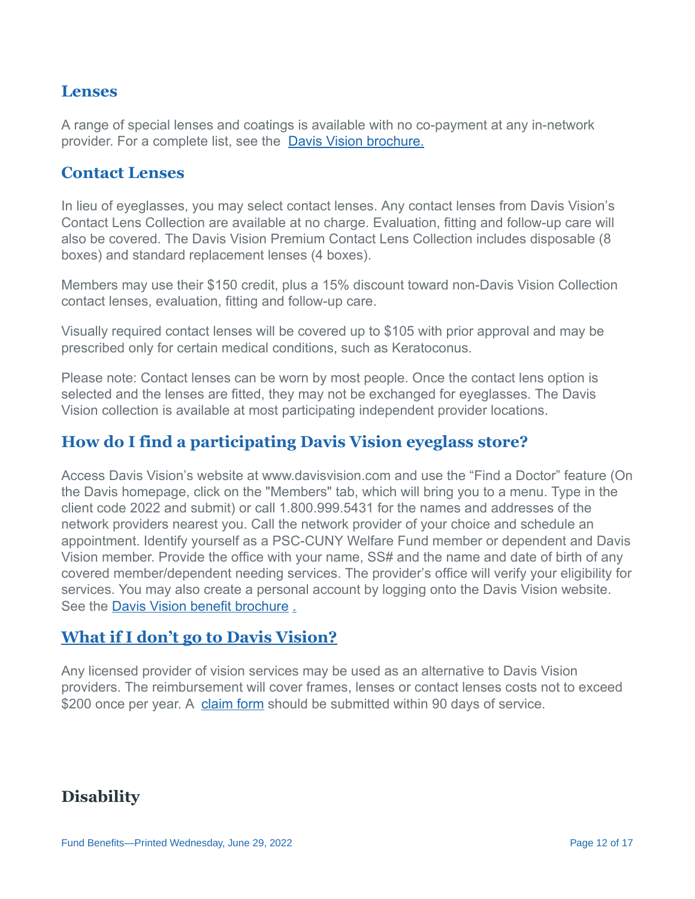#### **Lenses**

A range of special lenses and coatings is available with no co-payment at any in-network provider. For a complete list, see the [Davis Vision brochure.](/media/236470/davis_vision_brochure.7.1.21.pdf)

#### **Contact Lenses**

In lieu of eyeglasses, you may select contact lenses. Any contact lenses from Davis Vision's Contact Lens Collection are available at no charge. Evaluation, fitting and follow-up care will also be covered. The Davis Vision Premium Contact Lens Collection includes disposable (8 boxes) and standard replacement lenses (4 boxes).

Members may use their \$150 credit, plus a 15% discount toward non-Davis Vision Collection contact lenses, evaluation, fitting and follow-up care.

Visually required contact lenses will be covered up to \$105 with prior approval and may be prescribed only for certain medical conditions, such as Keratoconus.

Please note: Contact lenses can be worn by most people. Once the contact lens option is selected and the lenses are fitted, they may not be exchanged for eyeglasses. The Davis Vision collection is available at most participating independent provider locations.

### **How do I find a participating Davis Vision eyeglass store?**

Access Davis Vision's website at www.davisvision.com and use the "Find a Doctor" feature (On the Davis homepage, click on the "Members" tab, which will bring you to a menu. Type in the client code 2022 and submit) or call 1.800.999.5431 for the names and addresses of the network providers nearest you. Call the network provider of your choice and schedule an appointment. Identify yourself as a PSC-CUNY Welfare Fund member or dependent and Davis Vision member. Provide the office with your name, SS# and the name and date of birth of any covered member/dependent needing services. The provider's office will verify your eligibility for services. You may also create a personal account by logging onto the Davis Vision website. See the [Davis Vision benefit brochure](/media/236470/davis_vision_brochure.7.1.21.pdf) [.](/media/225026/davis_vision_brochure_10.28.20.pdf)

#### **[What if I don't go to Davis Vision?](/media/225026/davis_vision_brochure_10.28.20.pdf)**

Any licensed provider of vision services may be used as an alternative to Davis Vision providers. The reimbursement will cover frames, lenses or contact lenses costs not to exceed \$200 once per year. A [claim form](http://www.psccunywf.org/media/133046/ret.out.of.state.reimbursement.pdf) should be submitted within 90 days of service.

### **Disability**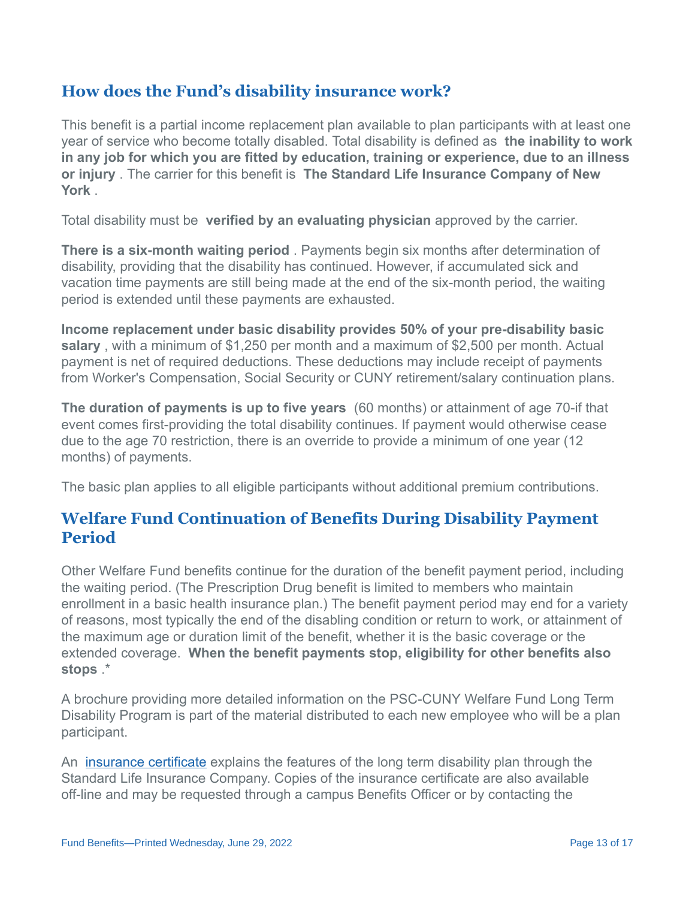# **How does the Fund's disability insurance work?**

This benefit is a partial income replacement plan available to plan participants with at least one year of service who become totally disabled. Total disability is defined as **the inability to work in any job for which you are fitted by education, training or experience, due to an illness or injury** . The carrier for this benefit is **The Standard Life Insurance Company of New York** .

Total disability must be **verified by an evaluating physician** approved by the carrier.

**There is a six-month waiting period** . Payments begin six months after determination of disability, providing that the disability has continued. However, if accumulated sick and vacation time payments are still being made at the end of the six-month period, the waiting period is extended until these payments are exhausted.

**Income replacement under basic disability provides 50% of your pre-disability basic salary** , with a minimum of \$1,250 per month and a maximum of \$2,500 per month. Actual payment is net of required deductions. These deductions may include receipt of payments from Worker's Compensation, Social Security or CUNY retirement/salary continuation plans.

**The duration of payments is up to five years** (60 months) or attainment of age 70-if that event comes first-providing the total disability continues. If payment would otherwise cease due to the age 70 restriction, there is an override to provide a minimum of one year (12 months) of payments.

The basic plan applies to all eligible participants without additional premium contributions.

### **Welfare Fund Continuation of Benefits During Disability Payment Period**

Other Welfare Fund benefits continue for the duration of the benefit payment period, including the waiting period. (The Prescription Drug benefit is limited to members who maintain enrollment in a basic health insurance plan.) The benefit payment period may end for a variety of reasons, most typically the end of the disabling condition or return to work, or attainment of the maximum age or duration limit of the benefit, whether it is the basic coverage or the extended coverage. **When the benefit payments stop, eligibility for other benefits also stops** .\*

A brochure providing more detailed information on the PSC-CUNY Welfare Fund Long Term Disability Program is part of the material distributed to each new employee who will be a plan participant.

An **[insurance certificate](http://www.psccunywf.org/media/20990/Extended_LTD_Certificate.pdf)** explains the features of the long term disability plan through the Standard Life Insurance Company. Copies of the insurance certificate are also available off-line and may be requested through a campus Benefits Officer or by contacting the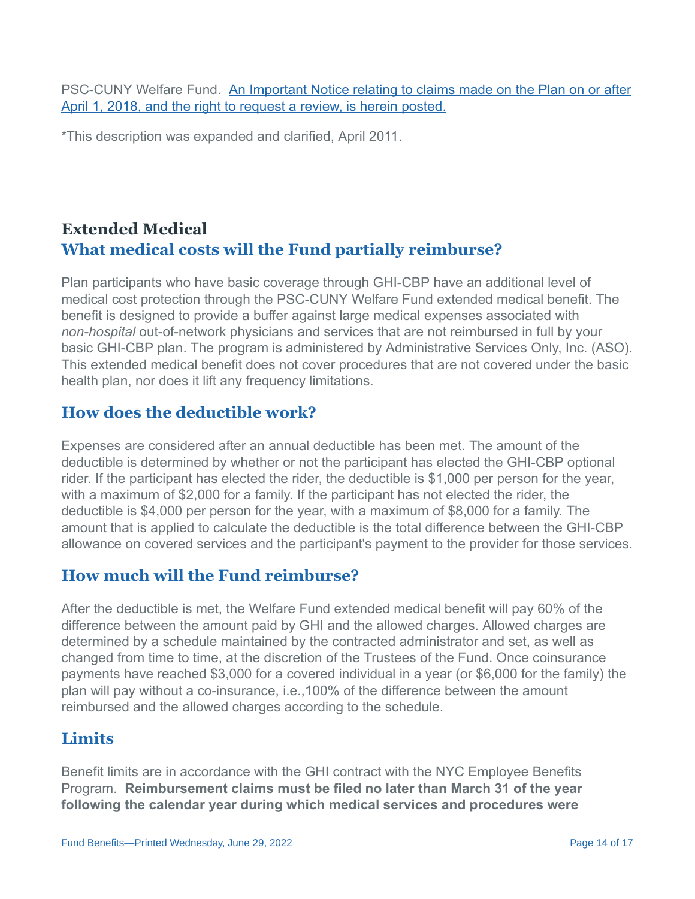PSC-CUNY Welfare Fund. [An Important Notice relating to claims made on the Plan on or after](http://www.psccunywf.org/media/187194/ltd_claims_review_notice__re_denials_post_april_2018.pdf) April 1, 2018, and the right to request a review, is herein posted.

\*This description was expanded and clarified, April 2011.

# **Extended Medical What medical costs will the Fund partially reimburse?**

Plan participants who have basic coverage through GHI-CBP have an additional level of medical cost protection through the PSC-CUNY Welfare Fund extended medical benefit. The benefit is designed to provide a buffer against large medical expenses associated with *non-hospital* out-of-network physicians and services that are not reimbursed in full by your basic GHI-CBP plan. The program is administered by Administrative Services Only, Inc. (ASO). This extended medical benefit does not cover procedures that are not covered under the basic health plan, nor does it lift any frequency limitations.

#### **How does the deductible work?**

Expenses are considered after an annual deductible has been met. The amount of the deductible is determined by whether or not the participant has elected the GHI-CBP optional rider. If the participant has elected the rider, the deductible is \$1,000 per person for the year, with a maximum of \$2,000 for a family. If the participant has not elected the rider, the deductible is \$4,000 per person for the year, with a maximum of \$8,000 for a family. The amount that is applied to calculate the deductible is the total difference between the GHI-CBP allowance on covered services and the participant's payment to the provider for those services.

### **How much will the Fund reimburse?**

After the deductible is met, the Welfare Fund extended medical benefit will pay 60% of the difference between the amount paid by GHI and the allowed charges. Allowed charges are determined by a schedule maintained by the contracted administrator and set, as well as changed from time to time, at the discretion of the Trustees of the Fund. Once coinsurance payments have reached \$3,000 for a covered individual in a year (or \$6,000 for the family) the plan will pay without a co-insurance, i.e.,100% of the difference between the amount reimbursed and the allowed charges according to the schedule.

# **Limits**

Benefit limits are in accordance with the GHI contract with the NYC Employee Benefits Program. **Reimbursement claims must be filed no later than March 31 of the year following the calendar year during which medical services and procedures were**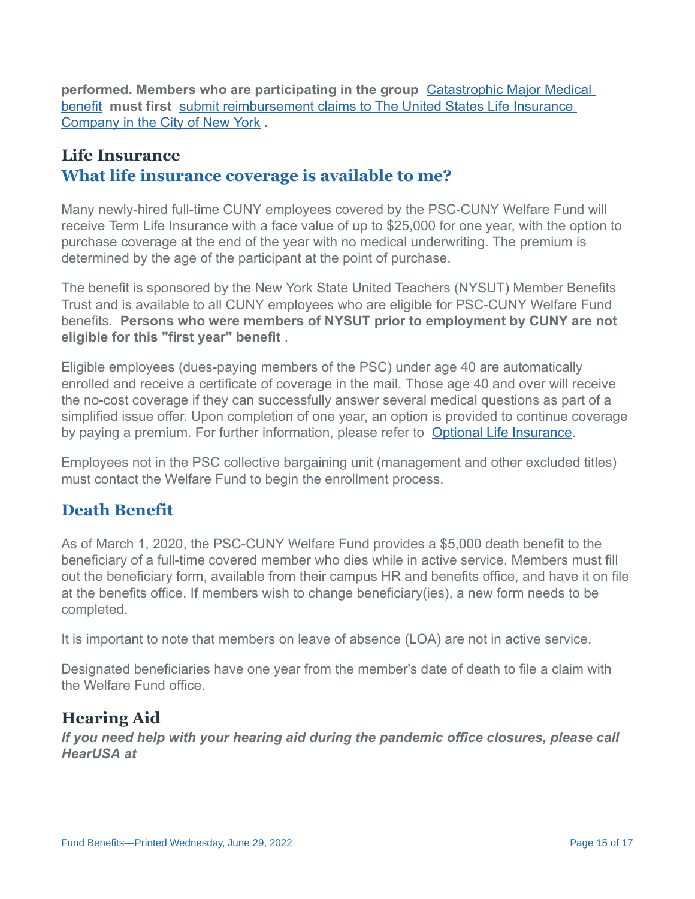**performed. Members who are participating in the group**  Catastrophic Major Medical benefit  **must first**  [submit reimbursement claims to The United States Life Insurance](http://www.psccunywf.org/full-time-actives/optional-benefits/catastrophic-major-medical.aspx)  Company in the City of New York **.** 

# **Life Insurance What life insurance coverage is available to me?**

Many newly-hired full-time CUNY employees covered by the PSC-CUNY Welfare Fund will receive Term Life Insurance with a face value of up to \$25,000 for one year, with the option to purchase coverage at the end of the year with no medical underwriting. The premium is determined by the age of the participant at the point of purchase.

The benefit is sponsored by the New York State United Teachers (NYSUT) Member Benefits Trust and is available to all CUNY employees who are eligible for PSC-CUNY Welfare Fund benefits. **Persons who were members of NYSUT prior to employment by CUNY are not eligible for this "first year" benefit** .

Eligible employees (dues-paying members of the PSC) under age 40 are automatically enrolled and receive a certificate of coverage in the mail. Those age 40 and over will receive the no-cost coverage if they can successfully answer several medical questions as part of a simplified issue offer. Upon completion of one year, an option is provided to continue coverage by paying a premium. For further information, please refer to [Optional Life Insurance](http://www.psccunywf.org/full-time-actives/optional-benefits/life-insurance.aspx).

Employees not in the PSC collective bargaining unit (management and other excluded titles) must contact the Welfare Fund to begin the enrollment process.

# **Death Benefit**

As of March 1, 2020, the PSC-CUNY Welfare Fund provides a \$5,000 death benefit to the beneficiary of a full-time covered member who dies while in active service. Members must fill out the beneficiary form, available from their campus HR and benefits office, and have it on file at the benefits office. If members wish to change beneficiary(ies), a new form needs to be completed.

It is important to note that members on leave of absence (LOA) are not in active service.

Designated beneficiaries have one year from the member's date of death to file a claim with the Welfare Fund office.

# **Hearing Aid**

*If you need help with your hearing aid during the pandemic office closures, please call HearUSA at*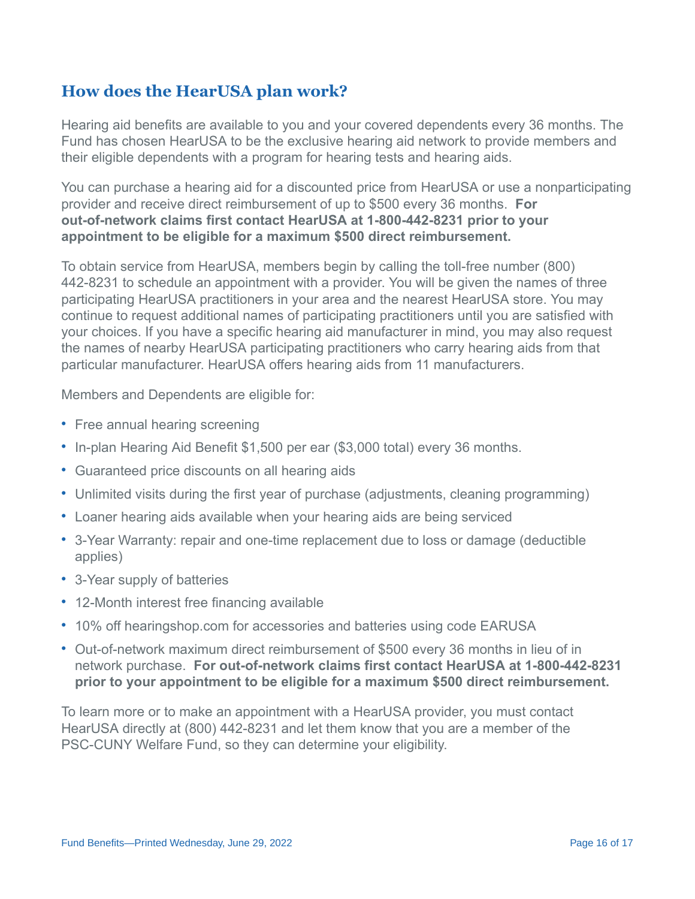# **How does the HearUSA plan work?**

Hearing aid benefits are available to you and your covered dependents every 36 months. The Fund has chosen HearUSA to be the exclusive hearing aid network to provide members and their eligible dependents with a program for hearing tests and hearing aids.

You can purchase a hearing aid for a discounted price from HearUSA or use a nonparticipating provider and receive direct reimbursement of up to \$500 every 36 months. **For out-of-network claims first contact HearUSA at 1-800-442-8231 prior to your appointment to be eligible for a maximum \$500 direct reimbursement.**

To obtain service from HearUSA, members begin by calling the toll-free number (800) 442-8231 to schedule an appointment with a provider. You will be given the names of three participating HearUSA practitioners in your area and the nearest HearUSA store. You may continue to request additional names of participating practitioners until you are satisfied with your choices. If you have a specific hearing aid manufacturer in mind, you may also request the names of nearby HearUSA participating practitioners who carry hearing aids from that particular manufacturer. HearUSA offers hearing aids from 11 manufacturers.

Members and Dependents are eligible for:

- Free annual hearing screening
- In-plan Hearing Aid Benefit \$1,500 per ear (\$3,000 total) every 36 months.
- Guaranteed price discounts on all hearing aids
- Unlimited visits during the first year of purchase (adjustments, cleaning programming)
- Loaner hearing aids available when your hearing aids are being serviced
- 3-Year Warranty: repair and one-time replacement due to loss or damage (deductible applies)
- 3-Year supply of batteries
- 12-Month interest free financing available
- 10% off hearingshop.com for accessories and batteries using code EARUSA
- Out-of-network maximum direct reimbursement of \$500 every 36 months in lieu of in network purchase. **For out-of-network claims first contact HearUSA at 1-800-442-8231 prior to your appointment to be eligible for a maximum \$500 direct reimbursement.**

To learn more or to make an appointment with a HearUSA provider, you must contact HearUSA directly at (800) 442-8231 and let them know that you are a member of the PSC-CUNY Welfare Fund, so they can determine your eligibility.